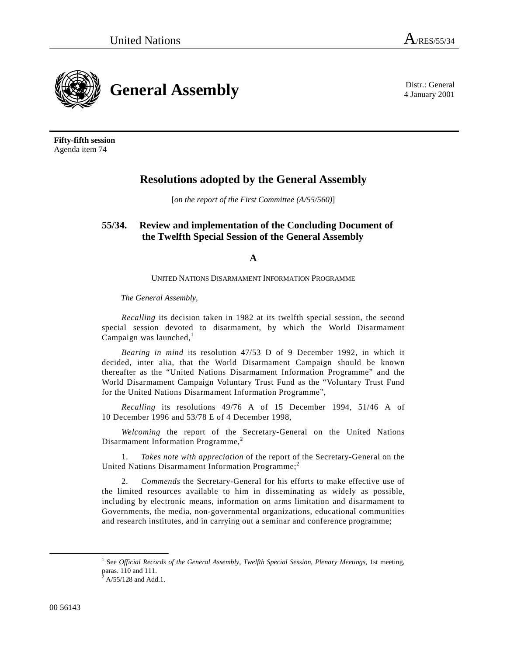

**Fifty-fifth session** Agenda item 74

# **Resolutions adopted by the General Assembly**

[*on the report of the First Committee (A/55/560)*]

## **55/34. Review and implementation of the Concluding Document of the Twelfth Special Session of the General Assembly**

**A**

UNITED NATIONS DISARMAMENT INFORMATION PROGRAMME

*The General Assembly*,

*Recalling* its decision taken in 1982 at its twelfth special session, the second special session devoted to disarmament, by which the World Disarmament Campaign was launched, $<sup>1</sup>$ </sup>

*Bearing in mind* its resolution 47/53 D of 9 December 1992, in which it decided, inter alia, that the World Disarmament Campaign should be known thereafter as the "United Nations Disarmament Information Programme" and the World Disarmament Campaign Voluntary Trust Fund as the "Voluntary Trust Fund for the United Nations Disarmament Information Programme",

*Recalling* its resolutions 49/76 A of 15 December 1994, 51/46 A of 10 December 1996 and 53/78 E of 4 December 1998,

*Welcoming* the report of the Secretary-General on the United Nations Disarmament Information Programme,<sup>2</sup>

1. *Takes note with appreciation* of the report of the Secretary-General on the United Nations Disarmament Information Programme; $<sup>2</sup>$ </sup>

2. *Commends* the Secretary-General for his efforts to make effective use of the limited resources available to him in disseminating as widely as possible, including by electronic means, information on arms limitation and disarmament to Governments, the media, non-governmental organizations, educational communities and research institutes, and in carrying out a seminar and conference programme;

4 January 2001

<sup>&</sup>lt;u>1</u> <sup>1</sup> See *Official Records of the General Assembly, Twelfth Special Session, Plenary Meetings, 1st meeting,* paras. 110 and 111.

 $^{2}$  A/55/128 and Add.1.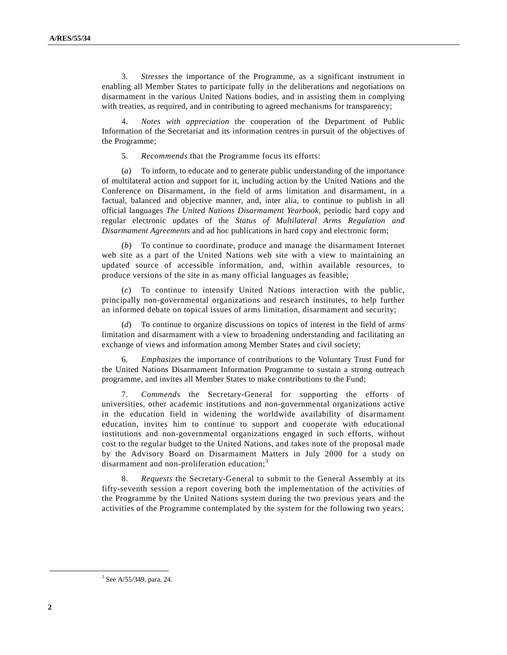3. *Stresses* the importance of the Programme, as a significant instrument in enabling all Member States to participate fully in the deliberations and negotiations on disarmament in the various United Nations bodies, and in assisting them in complying with treaties, as required, and in contributing to agreed mechanisms for transparency;

4. *Notes with appreciation* the cooperation of the Department of Public Information of the Secretariat and its information centres in pursuit of the objectives of the Programme;

5. *Recommends* that the Programme focus its efforts:

(*a*) To inform, to educate and to generate public understanding of the importance of multilateral action and support for it, including action by the United Nations and the Conference on Disarmament, in the field of arms limitation and disarmament, in a factual, balanced and objective manner, and, inter alia, to continue to publish in all official languages *The United Nations Disarmament Yearbook*, periodic hard copy and regular electronic updates of the *Status of Multilateral Arms Regulation and Disarmament Agreements* and ad hoc publications in hard copy and electronic form;

(*b*) To continue to coordinate, produce and manage the disarmament Internet web site as a part of the United Nations web site with a view to maintaining an updated source of accessible information, and, within available resources, to produce versions of the site in as many official languages as feasible;

(*c*) To continue to intensify United Nations interaction with the public, principally non-governmental organizations and research institutes, to help further an informed debate on topical issues of arms limitation, disarmament and security;

(*d*) To continue to organize discussions on topics of interest in the field of arms limitation and disarmament with a view to broadening understanding and facilitating an exchange of views and information among Member States and civil society;

6. *Emphasizes* the importance of contributions to the Voluntary Trust Fund for the United Nations Disarmament Information Programme to sustain a strong outreach programme, and invites all Member States to make contributions to the Fund;

7. *Commends* the Secretary-General for supporting the efforts of universities, other academic institutions and non-governmental organizations active in the education field in widening the worldwide availability of disarmament education, invites him to continue to support and cooperate with educational institutions and non-governmental organizations engaged in such efforts, without cost to the regular budget to the United Nations, and takes note of the proposal made by the Advisory Board on Disarmament Matters in July 2000 for a study on disarmament and non-proliferation education;<sup>3</sup>

8. *Requests* the Secretary-General to submit to the General Assembly at its fifty-seventh session a report covering both the implementation of the activities of the Programme by the United Nations system during the two previous years and the activities of the Programme contemplated by the system for the following two years;

 <sup>3</sup>  $3$  See A/55/349, para. 24.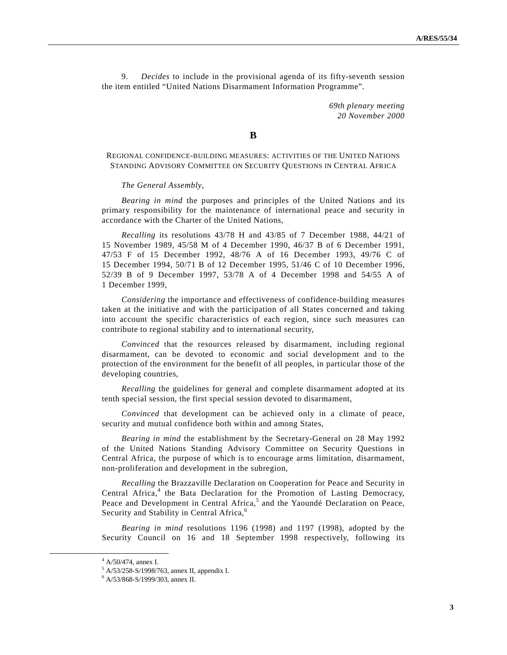9. *Decides* to include in the provisional agenda of its fifty-seventh session the item entitled "United Nations Disarmament Information Programme".

> *69th plenary meeting 20 November 2000*

**B**

REGIONAL CONFIDENCE-BUILDING MEASURES: ACTIVITIES OF THE UNITED NATIONS STANDING ADVISORY COMMITTEE ON SECURITY QUESTIONS IN CENTRAL AFRICA

*The General Assembly*,

*Bearing in mind* the purposes and principles of the United Nations and its primary responsibility for the maintenance of international peace and security in accordance with the Charter of the United Nations,

*Recalling* its resolutions 43/78 H and 43/85 of 7 December 1988, 44/21 of 15 November 1989, 45/58 M of 4 December 1990, 46/37 B of 6 December 1991, 47/53 F of 15 December 1992, 48/76 A of 16 December 1993, 49/76 C of 15 December 1994, 50/71 B of 12 December 1995, 51/46 C of 10 December 1996, 52/39 B of 9 December 1997, 53/78 A of 4 December 1998 and 54/55 A of 1 December 1999,

*Considering* the importance and effectiveness of confidence-building measures taken at the initiative and with the participation of all States concerned and taking into account the specific characteristics of each region, since such measures can contribute to regional stability and to international security,

*Convinced* that the resources released by disarmament, including regional disarmament, can be devoted to economic and social development and to the protection of the environment for the benefit of all peoples, in particular those of the developing countries,

*Recalling* the guidelines for general and complete disarmament adopted at its tenth special session, the first special session devoted to disarmament,

*Convinced* that development can be achieved only in a climate of peace, security and mutual confidence both within and among States,

*Bearing in mind* the establishment by the Secretary-General on 28 May 1992 of the United Nations Standing Advisory Committee on Security Questions in Central Africa, the purpose of which is to encourage arms limitation, disarmament, non-proliferation and development in the subregion,

*Recalling* the Brazzaville Declaration on Cooperation for Peace and Security in Central Africa,<sup>4</sup> the Bata Declaration for the Promotion of Lasting Democracy, Peace and Development in Central Africa,<sup>5</sup> and the Yaoundé Declaration on Peace, Security and Stability in Central Africa,<sup>6</sup>

*Bearing in mind* resolutions 1196 (1998) and 1197 (1998), adopted by the Security Council on 16 and 18 September 1998 respectively, following its

 <sup>4</sup>  $^{4}$  A/50/474, annex I.

<sup>&</sup>lt;sup>5</sup> A/53/258-S/1998/763, annex II, appendix I.

<sup>6</sup> A/53/868-S/1999/303, annex II.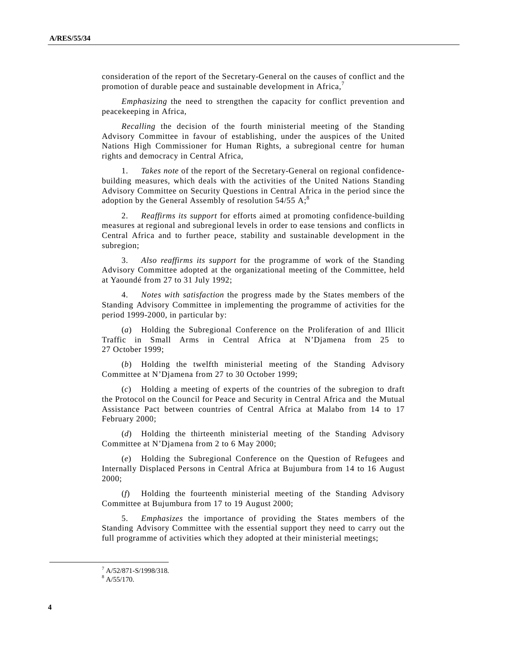consideration of the report of the Secretary-General on the causes of conflict and the promotion of durable peace and sustainable development in Africa, $\overline{7}$ 

*Emphasizing* the need to strengthen the capacity for conflict prevention and peacekeeping in Africa,

*Recalling* the decision of the fourth ministerial meeting of the Standing Advisory Committee in favour of establishing, under the auspices of the United Nations High Commissioner for Human Rights, a subregional centre for human rights and democracy in Central Africa,

1. *Takes note* of the report of the Secretary-General on regional confidencebuilding measures, which deals with the activities of the United Nations Standing Advisory Committee on Security Questions in Central Africa in the period since the adoption by the General Assembly of resolution  $54/55$  A;<sup>8</sup>

2. *Reaffirms its support* for efforts aimed at promoting confidence-building measures at regional and subregional levels in order to ease tensions and conflicts in Central Africa and to further peace, stability and sustainable development in the subregion;

3. *Also reaffirms its support* for the programme of work of the Standing Advisory Committee adopted at the organizational meeting of the Committee, held at Yaoundé from 27 to 31 July 1992;

4. *Notes with satisfaction* the progress made by the States members of the Standing Advisory Committee in implementing the programme of activities for the period 1999-2000, in particular by:

(*a*) Holding the Subregional Conference on the Proliferation of and Illicit Traffic in Small Arms in Central Africa at N'Djamena from 25 to 27 October 1999;

(*b*) Holding the twelfth ministerial meeting of the Standing Advisory Committee at N'Djamena from 27 to 30 October 1999;

(*c*) Holding a meeting of experts of the countries of the subregion to draft the Protocol on the Council for Peace and Security in Central Africa and the Mutual Assistance Pact between countries of Central Africa at Malabo from 14 to 17 February 2000;

(*d*) Holding the thirteenth ministerial meeting of the Standing Advisory Committee at N'Djamena from 2 to 6 May 2000;

(*e*) Holding the Subregional Conference on the Question of Refugees and Internally Displaced Persons in Central Africa at Bujumbura from 14 to 16 August 2000;

(*f*) Holding the fourteenth ministerial meeting of the Standing Advisory Committee at Bujumbura from 17 to 19 August 2000;

5. *Emphasizes* the importance of providing the States members of the Standing Advisory Committee with the essential support they need to carry out the full programme of activities which they adopted at their ministerial meetings;

 <sup>7</sup>  $7$  A/52/871-S/1998/318.

 $8$  A/55/170.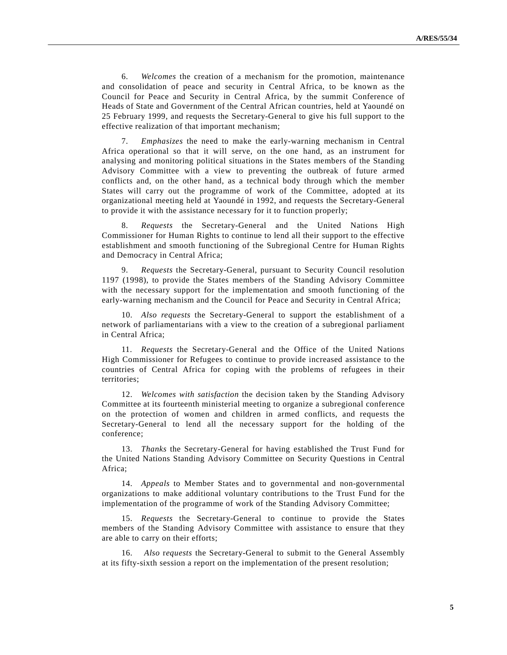6. *Welcomes* the creation of a mechanism for the promotion, maintenance and consolidation of peace and security in Central Africa, to be known as the Council for Peace and Security in Central Africa, by the summit Conference of Heads of State and Government of the Central African countries, held at Yaoundé on 25 February 1999, and requests the Secretary-General to give his full support to the effective realization of that important mechanism;

7. *Emphasizes* the need to make the early-warning mechanism in Central Africa operational so that it will serve, on the one hand, as an instrument for analysing and monitoring political situations in the States members of the Standing Advisory Committee with a view to preventing the outbreak of future armed conflicts and, on the other hand, as a technical body through which the member States will carry out the programme of work of the Committee, adopted at its organizational meeting held at Yaoundé in 1992, and requests the Secretary-General to provide it with the assistance necessary for it to function properly;

8. *Requests* the Secretary-General and the United Nations High Commissioner for Human Rights to continue to lend all their support to the effective establishment and smooth functioning of the Subregional Centre for Human Rights and Democracy in Central Africa;

9. *Requests* the Secretary-General, pursuant to Security Council resolution 1197 (1998), to provide the States members of the Standing Advisory Committee with the necessary support for the implementation and smooth functioning of the early-warning mechanism and the Council for Peace and Security in Central Africa;

10. *Also requests* the Secretary-General to support the establishment of a network of parliamentarians with a view to the creation of a subregional parliament in Central Africa;

11. *Requests* the Secretary-General and the Office of the United Nations High Commissioner for Refugees to continue to provide increased assistance to the countries of Central Africa for coping with the problems of refugees in their territories;

12. *Welcomes with satisfaction* the decision taken by the Standing Advisory Committee at its fourteenth ministerial meeting to organize a subregional conference on the protection of women and children in armed conflicts, and requests the Secretary-General to lend all the necessary support for the holding of the conference;

13. *Thanks* the Secretary-General for having established the Trust Fund for the United Nations Standing Advisory Committee on Security Questions in Central Africa;

14. *Appeals* to Member States and to governmental and non-governmental organizations to make additional voluntary contributions to the Trust Fund for the implementation of the programme of work of the Standing Advisory Committee;

15. *Requests* the Secretary-General to continue to provide the States members of the Standing Advisory Committee with assistance to ensure that they are able to carry on their efforts;

16. *Also* r*equests* the Secretary-General to submit to the General Assembly at its fifty-sixth session a report on the implementation of the present resolution;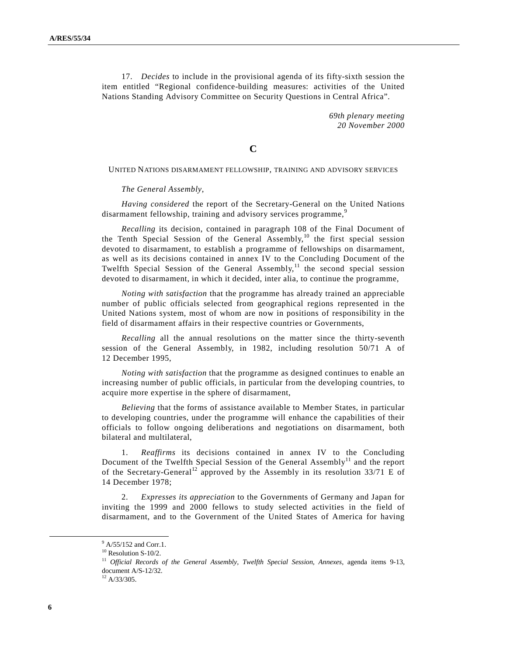17. *Decides* to include in the provisional agenda of its fifty-sixth session the item entitled "Regional confidence-building measures: activities of the United Nations Standing Advisory Committee on Security Questions in Central Africa".

> *69th plenary meeting 20 November 2000*

**C**

UNITED NATIONS DISARMAMENT FELLOWSHIP, TRAINING AND ADVISORY SERVICES

#### *The General Assembly*,

*Having considered* the report of the Secretary-General on the United Nations disarmament fellowship, training and advisory services programme,<sup>9</sup>

*Recalling* its decision, contained in paragraph 108 of the Final Document of the Tenth Special Session of the General Assembly,<sup>10</sup> the first special session devoted to disarmament, to establish a programme of fellowships on disarmament, as well as its decisions contained in annex IV to the Concluding Document of the Twelfth Special Session of the General Assembly, $11$  the second special session devoted to disarmament, in which it decided, inter alia, to continue the programme,

*Noting with satisfaction* that the programme has already trained an appreciable number of public officials selected from geographical regions represented in the United Nations system, most of whom are now in positions of responsibility in the field of disarmament affairs in their respective countries or Governments,

*Recalling* all the annual resolutions on the matter since the thirty-seventh session of the General Assembly, in 1982, including resolution 50/71 A of 12 December 1995,

*Noting with satisfaction* that the programme as designed continues to enable an increasing number of public officials, in particular from the developing countries, to acquire more expertise in the sphere of disarmament,

*Believing* that the forms of assistance available to Member States, in particular to developing countries, under the programme will enhance the capabilities of their officials to follow ongoing deliberations and negotiations on disarmament, both bilateral and multilateral,

1. *Reaffirms* its decisions contained in annex IV to the Concluding Document of the Twelfth Special Session of the General Assembly<sup>11</sup> and the report of the Secretary-General<sup>12</sup> approved by the Assembly in its resolution  $33/71 \to 0$ 14 December 1978;

2. *Expresses its appreciation* to the Governments of Germany and Japan for inviting the 1999 and 2000 fellows to study selected activities in the field of disarmament, and to the Government of the United States of America for having

 $\frac{1}{9}$  $^{9}$  A/55/152 and Corr.1.

<sup>&</sup>lt;sup>10</sup> Resolution S-10/2.

<sup>11</sup> *Official Records of the General Assembly, Twelfth Special Session, Annexes*, agenda items 9-13, document A/S-12/32.

 $12$  A/33/305.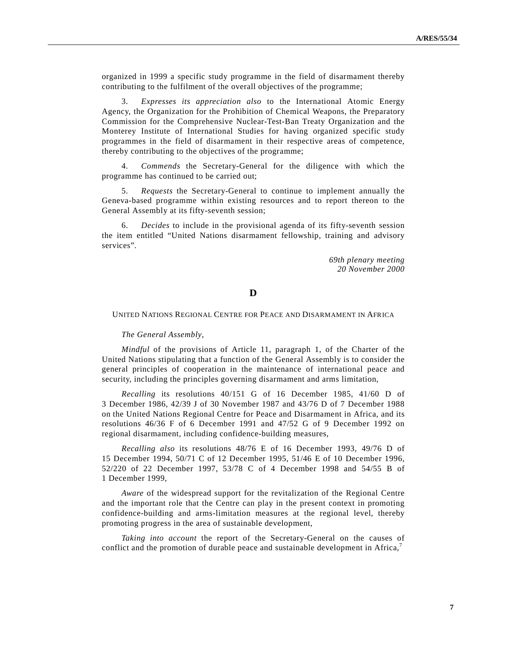organized in 1999 a specific study programme in the field of disarmament thereby contributing to the fulfilment of the overall objectives of the programme;

3. *Expresses its appreciation also* to the International Atomic Energy Agency, the Organization for the Prohibition of Chemical Weapons, the Preparatory Commission for the Comprehensive Nuclear-Test-Ban Treaty Organization and the Monterey Institute of International Studies for having organized specific study programmes in the field of disarmament in their respective areas of competence, thereby contributing to the objectives of the programme;

4. *Commends* the Secretary-General for the diligence with which the programme has continued to be carried out;

5. *Requests* the Secretary-General to continue to implement annually the Geneva-based programme within existing resources and to report thereon to the General Assembly at its fifty-seventh session;

6. *Decides* to include in the provisional agenda of its fifty-seventh session the item entitled "United Nations disarmament fellowship, training and advisory services".

> *69th plenary meeting 20 November 2000*

## **D**

UNITED NATIONS REGIONAL CENTRE FOR PEACE AND DISARMAMENT IN AFRICA

*The General Assembly*,

*Mindful* of the provisions of Article 11, paragraph 1, of the Charter of the United Nations stipulating that a function of the General Assembly is to consider the general principles of cooperation in the maintenance of international peace and security, including the principles governing disarmament and arms limitation,

*Recalling* its resolutions 40/151 G of 16 December 1985, 41/60 D of 3 December 1986, 42/39 J of 30 November 1987 and 43/76 D of 7 December 1988 on the United Nations Regional Centre for Peace and Disarmament in Africa, and its resolutions 46/36 F of 6 December 1991 and 47/52 G of 9 December 1992 on regional disarmament, including confidence-building measures,

*Recalling also* its resolutions 48/76 E of 16 December 1993, 49/76 D of 15 December 1994, 50/71 C of 12 December 1995, 51/46 E of 10 December 1996, 52/220 of 22 December 1997, 53/78 C of 4 December 1998 and 54/55 B of 1 December 1999,

*Aware* of the widespread support for the revitalization of the Regional Centre and the important role that the Centre can play in the present context in promoting confidence-building and arms-limitation measures at the regional level, thereby promoting progress in the area of sustainable development,

*Taking into account* the report of the Secretary-General on the causes of conflict and the promotion of durable peace and sustainable development in Africa,<sup>7</sup>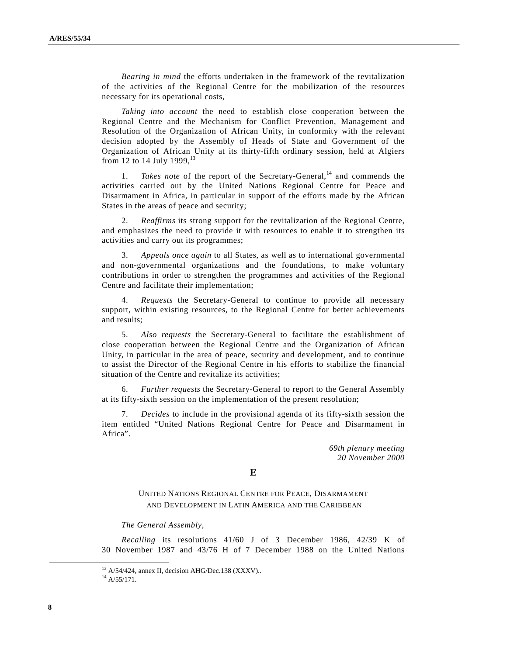*Bearing in mind* the efforts undertaken in the framework of the revitalization of the activities of the Regional Centre for the mobilization of the resources necessary for its operational costs,

*Taking into account* the need to establish close cooperation between the Regional Centre and the Mechanism for Conflict Prevention, Management and Resolution of the Organization of African Unity, in conformity with the relevant decision adopted by the Assembly of Heads of State and Government of the Organization of African Unity at its thirty-fifth ordinary session, held at Algiers from 12 to 14 July 1999,  $^{13}$ 

1. *Takes note* of the report of the Secretary-General,<sup>14</sup> and commends the activities carried out by the United Nations Regional Centre for Peace and Disarmament in Africa, in particular in support of the efforts made by the African States in the areas of peace and security;

2. *Reaffirms* its strong support for the revitalization of the Regional Centre, and emphasizes the need to provide it with resources to enable it to strengthen its activities and carry out its programmes;

3. *Appeals once again* to all States, as well as to international governmental and non-governmental organizations and the foundations, to make voluntary contributions in order to strengthen the programmes and activities of the Regional Centre and facilitate their implementation;

4. *Requests* the Secretary-General to continue to provide all necessary support, within existing resources, to the Regional Centre for better achievements and results;

5. *Also requests* the Secretary-General to facilitate the establishment of close cooperation between the Regional Centre and the Organization of African Unity, in particular in the area of peace, security and development, and to continue to assist the Director of the Regional Centre in his efforts to stabilize the financial situation of the Centre and revitalize its activities;

6. *Further requests* the Secretary-General to report to the General Assembly at its fifty-sixth session on the implementation of the present resolution;

7. *Decides* to include in the provisional agenda of its fifty-sixth session the item entitled "United Nations Regional Centre for Peace and Disarmament in Africa".

> *69th plenary meeting 20 November 2000*

### **E**

UNITED NATIONS REGIONAL CENTRE FOR PEACE, DISARMAMENT AND DEVELOPMENT IN LATIN AMERICA AND THE CARIBBEAN

*The General Assembly*,

*Recalling* its resolutions 41/60 J of 3 December 1986, 42/39 K of 30 November 1987 and 43/76 H of 7 December 1988 on the United Nations

 $14$  A/55/171.

 $13$  A/54/424, annex II, decision AHG/Dec.138 (XXXV)..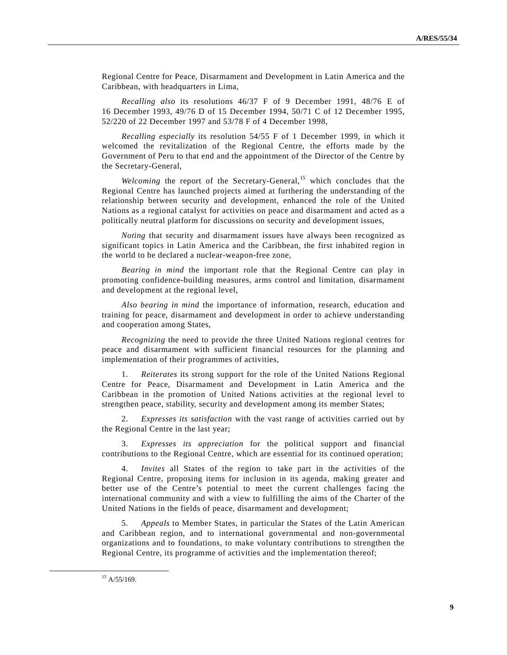Regional Centre for Peace, Disarmament and Development in Latin America and the Caribbean, with headquarters in Lima,

*Recalling also* its resolutions 46/37 F of 9 December 1991, 48/76 E of 16 December 1993, 49/76 D of 15 December 1994, 50/71 C of 12 December 1995, 52/220 of 22 December 1997 and 53/78 F of 4 December 1998,

*Recalling especially* its resolution 54/55 F of 1 December 1999, in which it welcomed the revitalization of the Regional Centre, the efforts made by the Government of Peru to that end and the appointment of the Director of the Centre by the Secretary-General,

*Welcoming* the report of the Secretary-General,<sup>15</sup> which concludes that the Regional Centre has launched projects aimed at furthering the understanding of the relationship between security and development, enhanced the role of the United Nations as a regional catalyst for activities on peace and disarmament and acted as a politically neutral platform for discussions on security and development issues,

*Noting* that security and disarmament issues have always been recognized as significant topics in Latin America and the Caribbean, the first inhabited region in the world to be declared a nuclear-weapon-free zone,

*Bearing in mind* the important role that the Regional Centre can play in promoting confidence-building measures, arms control and limitation, disarmament and development at the regional level,

*Also bearing in mind* the importance of information, research, education and training for peace, disarmament and development in order to achieve understanding and cooperation among States,

*Recognizing* the need to provide the three United Nations regional centres for peace and disarmament with sufficient financial resources for the planning and implementation of their programmes of activities,

1. *Reiterates* its strong support for the role of the United Nations Regional Centre for Peace, Disarmament and Development in Latin America and the Caribbean in the promotion of United Nations activities at the regional level to strengthen peace, stability, security and development among its member States;

2. *Expresses its satisfaction* with the vast range of activities carried out by the Regional Centre in the last year;

3. *Expresses its appreciation* for the political support and financial contributions to the Regional Centre, which are essential for its continued operation;

*Invites* all States of the region to take part in the activities of the Regional Centre, proposing items for inclusion in its agenda, making greater and better use of the Centre's potential to meet the current challenges facing the international community and with a view to fulfilling the aims of the Charter of the United Nations in the fields of peace, disarmament and development;

5. *Appeals* to Member States, in particular the States of the Latin American and Caribbean region, and to international governmental and non-governmental organizations and to foundations, to make voluntary contributions to strengthen the Regional Centre, its programme of activities and the implementation thereof;

 $15$  A/55/169.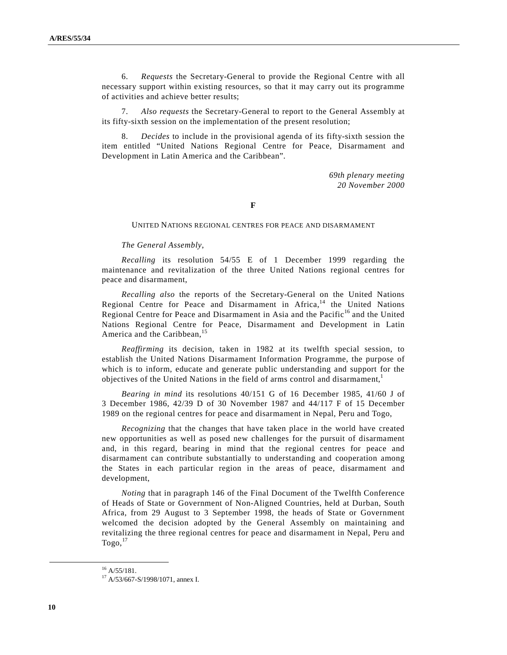6. *Requests* the Secretary-General to provide the Regional Centre with all necessary support within existing resources, so that it may carry out its programme of activities and achieve better results;

7. *Also requests* the Secretary-General to report to the General Assembly at its fifty-sixth session on the implementation of the present resolution;

8. *Decides* to include in the provisional agenda of its fifty-sixth session the item entitled "United Nations Regional Centre for Peace, Disarmament and Development in Latin America and the Caribbean".

> *69th plenary meeting 20 November 2000*

#### **F**

#### UNITED NATIONS REGIONAL CENTRES FOR PEACE AND DISARMAMENT

### *The General Assembly*,

*Recalling* its resolution 54/55 E of 1 December 1999 regarding the maintenance and revitalization of the three United Nations regional centres for peace and disarmament,

*Recalling also* the reports of the Secretary-General on the United Nations Regional Centre for Peace and Disarmament in Africa,<sup>14</sup> the United Nations Regional Centre for Peace and Disarmament in Asia and the Pacific<sup>16</sup> and the United Nations Regional Centre for Peace, Disarmament and Development in Latin America and the Caribbean,<sup>15</sup>

*Reaffirming* its decision, taken in 1982 at its twelfth special session, to establish the United Nations Disarmament Information Programme, the purpose of which is to inform, educate and generate public understanding and support for the objectives of the United Nations in the field of arms control and disarmament, $<sup>1</sup>$ </sup>

*Bearing in mind* its resolutions 40/151 G of 16 December 1985, 41/60 J of 3 December 1986, 42/39 D of 30 November 1987 and 44/117 F of 15 December 1989 on the regional centres for peace and disarmament in Nepal, Peru and Togo,

*Recognizing* that the changes that have taken place in the world have created new opportunities as well as posed new challenges for the pursuit of disarmament and, in this regard, bearing in mind that the regional centres for peace and disarmament can contribute substantially to understanding and cooperation among the States in each particular region in the areas of peace, disarmament and development,

*Noting* that in paragraph 146 of the Final Document of the Twelfth Conference of Heads of State or Government of Non-Aligned Countries, held at Durban, South Africa, from 29 August to 3 September 1998, the heads of State or Government welcomed the decision adopted by the General Assembly on maintaining and revitalizing the three regional centres for peace and disarmament in Nepal, Peru and  $Togo,$ <sup>17</sup>

 $^{16}$  A/55/181.

<sup>17</sup> A/53/667-S/1998/1071, annex I.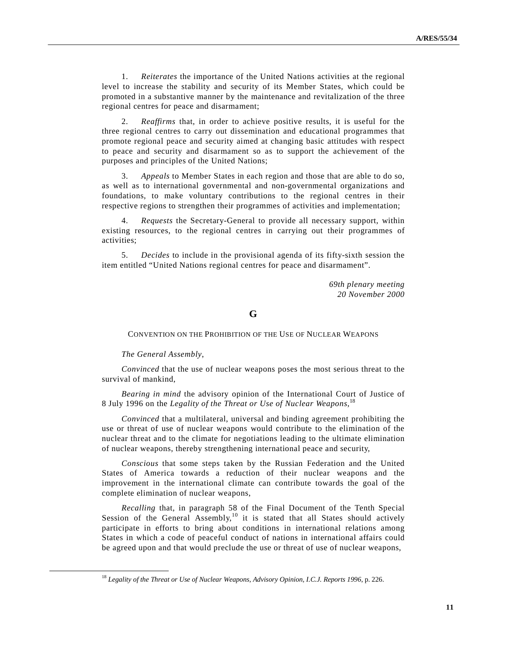1. *Reiterates* the importance of the United Nations activities at the regional level to increase the stability and security of its Member States, which could be promoted in a substantive manner by the maintenance and revitalization of the three regional centres for peace and disarmament;

2. *Reaffirms* that, in order to achieve positive results, it is useful for the three regional centres to carry out dissemination and educational programmes that promote regional peace and security aimed at changing basic attitudes with respect to peace and security and disarmament so as to support the achievement of the purposes and principles of the United Nations;

3. *Appeals* to Member States in each region and those that are able to do so, as well as to international governmental and non-governmental organizations and foundations, to make voluntary contributions to the regional centres in their respective regions to strengthen their programmes of activities and implementation;

4. *Requests* the Secretary-General to provide all necessary support, within existing resources, to the regional centres in carrying out their programmes of activities;

5. *Decides* to include in the provisional agenda of its fifty-sixth session the item entitled "United Nations regional centres for peace and disarmament".

> *69th plenary meeting 20 November 2000*

## **G**

#### CONVENTION ON THE PROHIBITION OF THE USE OF NUCLEAR WEAPONS

#### *The General Assembly*,

*Convinced* that the use of nuclear weapons poses the most serious threat to the survival of mankind,

*Bearing in mind* the advisory opinion of the International Court of Justice of 8 July 1996 on the *Legality of the Threat or Use of Nuclear Weapons*, 18

*Convinced* that a multilateral, universal and binding agreement prohibiting the use or threat of use of nuclear weapons would contribute to the elimination of the nuclear threat and to the climate for negotiations leading to the ultimate elimination of nuclear weapons, thereby strengthening international peace and security,

*Conscious* that some steps taken by the Russian Federation and the United States of America towards a reduction of their nuclear weapons and the improvement in the international climate can contribute towards the goal of the complete elimination of nuclear weapons,

*Recalling* that, in paragraph 58 of the Final Document of the Tenth Special Session of the General Assembly,<sup>10</sup> it is stated that all States should actively participate in efforts to bring about conditions in international relations among States in which a code of peaceful conduct of nations in international affairs could be agreed upon and that would preclude the use or threat of use of nuclear weapons,

 <sup>18</sup> *Legality of the Threat or Use of Nuclear Weapons, Advisory Opinion, I.C.J. Reports 1996*, p. 226.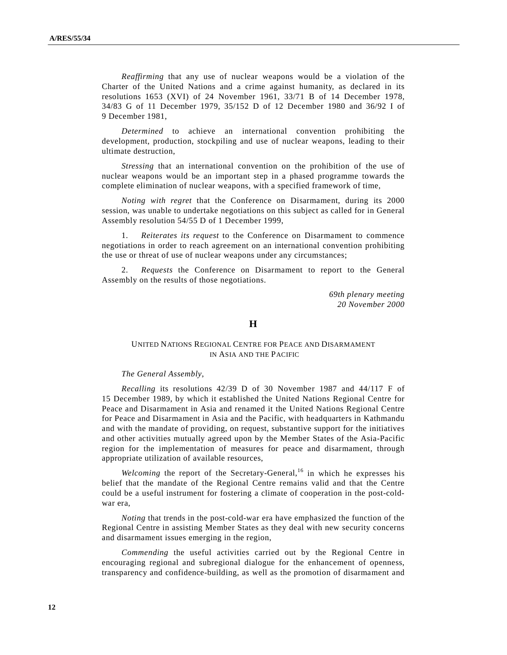*Reaffirming* that any use of nuclear weapons would be a violation of the Charter of the United Nations and a crime against humanity, as declared in its resolutions 1653 (XVI) of 24 November 1961, 33/71 B of 14 December 1978, 34/83 G of 11 December 1979, 35/152 D of 12 December 1980 and 36/92 I of 9 December 1981,

*Determined* to achieve an international convention prohibiting the development, production, stockpiling and use of nuclear weapons, leading to their ultimate destruction,

*Stressing* that an international convention on the prohibition of the use of nuclear weapons would be an important step in a phased programme towards the complete elimination of nuclear weapons, with a specified framework of time,

*Noting with regret* that the Conference on Disarmament, during its 2000 session, was unable to undertake negotiations on this subject as called for in General Assembly resolution 54/55 D of 1 December 1999,

1. *Reiterates its request* to the Conference on Disarmament to commence negotiations in order to reach agreement on an international convention prohibiting the use or threat of use of nuclear weapons under any circumstances;

2. *Requests* the Conference on Disarmament to report to the General Assembly on the results of those negotiations.

> *69th plenary meeting 20 November 2000*

## **H**

## UNITED NATIONS REGIONAL CENTRE FOR PEACE AND DISARMAMENT IN ASIA AND THE PACIFIC

#### *The General Assembly*,

*Recalling* its resolutions 42/39 D of 30 November 1987 and 44/117 F of 15 December 1989, by which it established the United Nations Regional Centre for Peace and Disarmament in Asia and renamed it the United Nations Regional Centre for Peace and Disarmament in Asia and the Pacific, with headquarters in Kathmandu and with the mandate of providing, on request, substantive support for the initiatives and other activities mutually agreed upon by the Member States of the Asia-Pacific region for the implementation of measures for peace and disarmament, through appropriate utilization of available resources,

*Welcoming* the report of the Secretary-General,<sup>16</sup> in which he expresses his belief that the mandate of the Regional Centre remains valid and that the Centre could be a useful instrument for fostering a climate of cooperation in the post-coldwar era,

*Noting* that trends in the post-cold-war era have emphasized the function of the Regional Centre in assisting Member States as they deal with new security concerns and disarmament issues emerging in the region,

*Commending* the useful activities carried out by the Regional Centre in encouraging regional and subregional dialogue for the enhancement of openness, transparency and confidence-building, as well as the promotion of disarmament and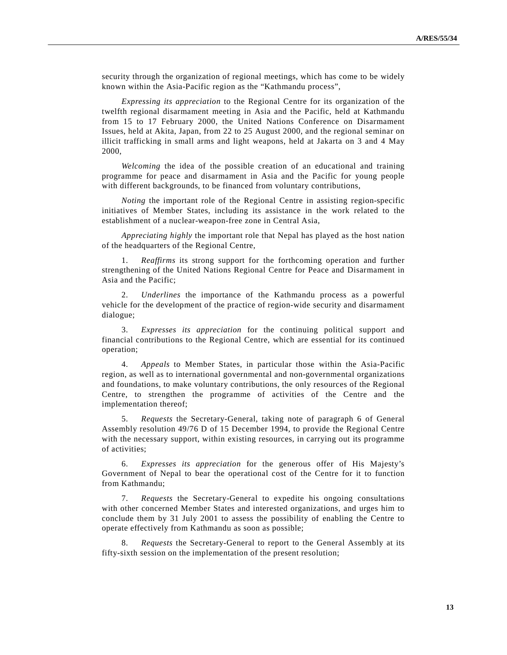security through the organization of regional meetings, which has come to be widely known within the Asia-Pacific region as the "Kathmandu process",

*Expressing its appreciation* to the Regional Centre for its organization of the twelfth regional disarmament meeting in Asia and the Pacific, held at Kathmandu from 15 to 17 February 2000, the United Nations Conference on Disarmament Issues, held at Akita, Japan, from 22 to 25 August 2000, and the regional seminar on illicit trafficking in small arms and light weapons, held at Jakarta on 3 and 4 May 2000,

*Welcoming* the idea of the possible creation of an educational and training programme for peace and disarmament in Asia and the Pacific for young people with different backgrounds, to be financed from voluntary contributions,

*Noting* the important role of the Regional Centre in assisting region-specific initiatives of Member States, including its assistance in the work related to the establishment of a nuclear-weapon-free zone in Central Asia,

*Appreciating highly* the important role that Nepal has played as the host nation of the headquarters of the Regional Centre,

1. *Reaffirms* its strong support for the forthcoming operation and further strengthening of the United Nations Regional Centre for Peace and Disarmament in Asia and the Pacific;

2. *Underlines* the importance of the Kathmandu process as a powerful vehicle for the development of the practice of region-wide security and disarmament dialogue;

3. *Expresses its appreciation* for the continuing political support and financial contributions to the Regional Centre, which are essential for its continued operation;

4. *Appeals* to Member States, in particular those within the Asia-Pacific region, as well as to international governmental and non-governmental organizations and foundations, to make voluntary contributions, the only resources of the Regional Centre, to strengthen the programme of activities of the Centre and the implementation thereof;

5. *Requests* the Secretary-General, taking note of paragraph 6 of General Assembly resolution 49/76 D of 15 December 1994, to provide the Regional Centre with the necessary support, within existing resources, in carrying out its programme of activities;

6. *Expresses its appreciation* for the generous offer of His Majesty's Government of Nepal to bear the operational cost of the Centre for it to function from Kathmandu;

7. *Requests* the Secretary-General to expedite his ongoing consultations with other concerned Member States and interested organizations, and urges him to conclude them by 31 July 2001 to assess the possibility of enabling the Centre to operate effectively from Kathmandu as soon as possible;

8. *Requests* the Secretary-General to report to the General Assembly at its fifty-sixth session on the implementation of the present resolution;